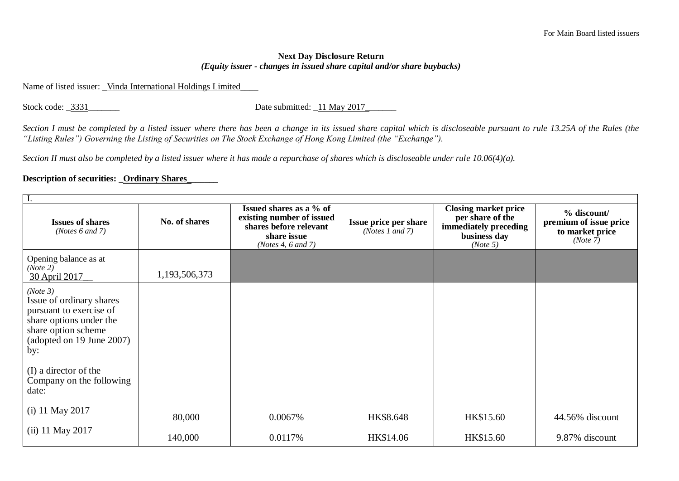## **Next Day Disclosure Return**  *(Equity issuer - changes in issued share capital and/or share buybacks)*

Name of listed issuer: Vinda International Holdings Limited

Stock code: \_3331\_\_\_\_\_\_\_\_\_ Date submitted: \_11 May 2017\_\_\_\_\_

*Section I must be completed by a listed issuer where there has been a change in its issued share capital which is discloseable pursuant to rule 13.25A of the Rules (the "Listing Rules") Governing the Listing of Securities on The Stock Exchange of Hong Kong Limited (the "Exchange").*

*Section II must also be completed by a listed issuer where it has made a repurchase of shares which is discloseable under rule 10.06(4)(a).*

## **Description of securities: \_Ordinary Shares\_\_\_\_\_\_\_**

| <b>Issues of shares</b><br>( <i>Notes</i> $6$ and $7$ )                                                                                                                                                             | No. of shares | Issued shares as a % of<br>existing number of issued<br>shares before relevant<br>share issue<br>(Notes 4, $6$ and $7$ ) | Issue price per share<br>( <i>Notes 1 and 7</i> ) | <b>Closing market price</b><br>per share of the<br>immediately preceding<br>business day<br>(Note 5) | % discount/<br>premium of issue price<br>to market price<br>(Note 7) |  |
|---------------------------------------------------------------------------------------------------------------------------------------------------------------------------------------------------------------------|---------------|--------------------------------------------------------------------------------------------------------------------------|---------------------------------------------------|------------------------------------------------------------------------------------------------------|----------------------------------------------------------------------|--|
| Opening balance as at<br>(Note 2)<br>30 April 2017                                                                                                                                                                  | 1,193,506,373 |                                                                                                                          |                                                   |                                                                                                      |                                                                      |  |
| (Note 3)<br>Issue of ordinary shares<br>pursuant to exercise of<br>share options under the<br>share option scheme<br>(adopted on 19 June 2007)<br>by:<br>(I) a director of the<br>Company on the following<br>date: |               |                                                                                                                          |                                                   |                                                                                                      |                                                                      |  |
| (i) 11 May 2017                                                                                                                                                                                                     | 80,000        | 0.0067%                                                                                                                  | HK\$8.648                                         | HK\$15.60                                                                                            | 44.56% discount                                                      |  |
| (ii) 11 May 2017                                                                                                                                                                                                    | 140,000       | 0.0117%                                                                                                                  | HK\$14.06                                         | HK\$15.60                                                                                            | 9.87% discount                                                       |  |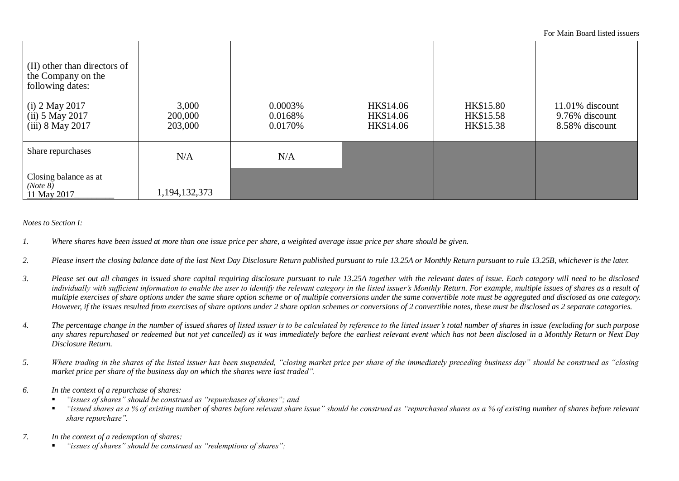For Main Board listed issuers

| (II) other than directors of<br>the Company on the<br>following dates:<br>$(i)$ 2 May 2017<br>$(iii)$ 5 May 2017<br>$(iii)$ 8 May 2017 | 3,000<br>200,000<br>203,000 | 0.0003%<br>0.0168%<br>0.0170% | HK\$14.06<br>HK\$14.06<br>HK\$14.06 | HK\$15.80<br>HK\$15.58<br>HK\$15.38 | $11.01\%$ discount<br>9.76% discount<br>8.58% discount |
|----------------------------------------------------------------------------------------------------------------------------------------|-----------------------------|-------------------------------|-------------------------------------|-------------------------------------|--------------------------------------------------------|
| Share repurchases                                                                                                                      | N/A                         | N/A                           |                                     |                                     |                                                        |
| Closing balance as at<br>(Note 8)<br>11 May 2017                                                                                       | 1, 194, 132, 373            |                               |                                     |                                     |                                                        |

*Notes to Section I:*

- *1. Where shares have been issued at more than one issue price per share, a weighted average issue price per share should be given.*
- *2. Please insert the closing balance date of the last Next Day Disclosure Return published pursuant to rule 13.25A or Monthly Return pursuant to rule 13.25B, whichever is the later.*
- *3. Please set out all changes in issued share capital requiring disclosure pursuant to rule 13.25A together with the relevant dates of issue. Each category will need to be disclosed*  individually with sufficient information to enable the user to identify the relevant category in the listed issuer's Monthly Return. For example, multiple issues of shares as a result of *multiple exercises of share options under the same share option scheme or of multiple conversions under the same convertible note must be aggregated and disclosed as one category. However, if the issues resulted from exercises of share options under 2 share option schemes or conversions of 2 convertible notes, these must be disclosed as 2 separate categories.*
- *4. The percentage change in the number of issued shares of listed issuer is to be calculated by reference to the listed issuer's total number of shares in issue (excluding for such purpose any shares repurchased or redeemed but not yet cancelled) as it was immediately before the earliest relevant event which has not been disclosed in a Monthly Return or Next Day Disclosure Return.*
- *5. Where trading in the shares of the listed issuer has been suspended, "closing market price per share of the immediately preceding business day" should be construed as "closing market price per share of the business day on which the shares were last traded".*
- *6. In the context of a repurchase of shares:*
	- *"issues of shares" should be construed as "repurchases of shares"; and*
	- *"issued shares as a % of existing number of shares before relevant share issue" should be construed as "repurchased shares as a % of existing number of shares before relevant share repurchase".*
- *7. In the context of a redemption of shares:*
	- *"issues of shares" should be construed as "redemptions of shares";*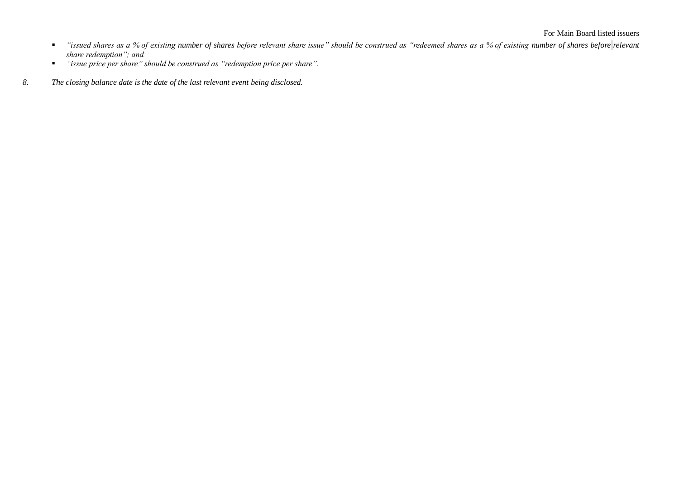- *"issued shares as a % of existing number of shares before relevant share issue" should be construed as "redeemed shares as a % of existing number of shares before <i>relevant share redemption"; and*
- *"issue price per share" should be construed as "redemption price per share".*
- *8. The closing balance date is the date of the last relevant event being disclosed.*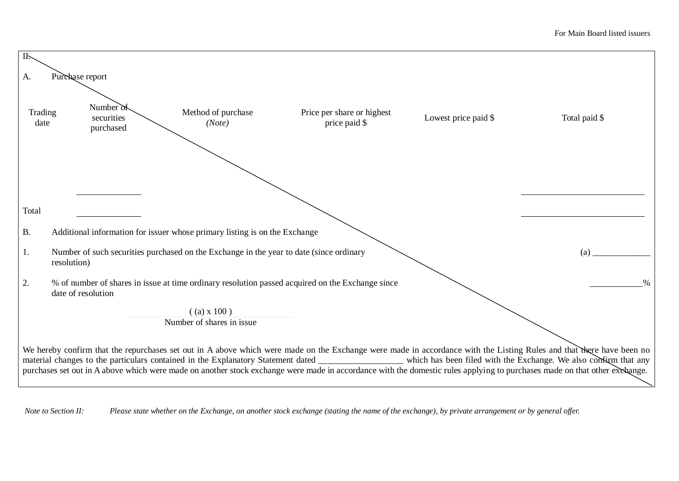| II:                   |                                                                                                        |                              |                                                                                                                                                                           |                      |                                                                                                                                                                                                                                                                                                                                           |  |  |
|-----------------------|--------------------------------------------------------------------------------------------------------|------------------------------|---------------------------------------------------------------------------------------------------------------------------------------------------------------------------|----------------------|-------------------------------------------------------------------------------------------------------------------------------------------------------------------------------------------------------------------------------------------------------------------------------------------------------------------------------------------|--|--|
| Purchase report<br>A. |                                                                                                        |                              |                                                                                                                                                                           |                      |                                                                                                                                                                                                                                                                                                                                           |  |  |
| Trading<br>date       | Number of<br>securities<br>purchased                                                                   | Method of purchase<br>(Note) | Price per share or highest<br>price paid \$                                                                                                                               | Lowest price paid \$ | Total paid \$                                                                                                                                                                                                                                                                                                                             |  |  |
|                       |                                                                                                        |                              |                                                                                                                                                                           |                      |                                                                                                                                                                                                                                                                                                                                           |  |  |
| Total                 |                                                                                                        |                              |                                                                                                                                                                           |                      |                                                                                                                                                                                                                                                                                                                                           |  |  |
| B.                    | Additional information for issuer whose primary listing is on the Exchange                             |                              |                                                                                                                                                                           |                      |                                                                                                                                                                                                                                                                                                                                           |  |  |
| 1.                    | Number of such securities purchased on the Exchange in the year to date (since ordinary<br>resolution) |                              |                                                                                                                                                                           |                      | (a)                                                                                                                                                                                                                                                                                                                                       |  |  |
| 2.                    | date of resolution                                                                                     |                              | % of number of shares in issue at time ordinary resolution passed acquired on the Exchange since                                                                          |                      | $\%$                                                                                                                                                                                                                                                                                                                                      |  |  |
|                       |                                                                                                        | $($ (a) x 100)               |                                                                                                                                                                           |                      |                                                                                                                                                                                                                                                                                                                                           |  |  |
|                       |                                                                                                        | Number of shares in issue    |                                                                                                                                                                           |                      |                                                                                                                                                                                                                                                                                                                                           |  |  |
|                       |                                                                                                        |                              | purchases set out in A above which were made on another stock exchange were made in accordance with the domestic rules applying to purchases made on that other exchange. |                      | We hereby confirm that the repurchases set out in A above which were made on the Exchange were made in accordance with the Listing Rules and that there have been no<br>material changes to the particulars contained in the Explanatory Statement dated _______________ which has been filed with the Exchange. We also confirm that any |  |  |

*Note to Section II: Please state whether on the Exchange, on another stock exchange (stating the name of the exchange), by private arrangement or by general offer.*